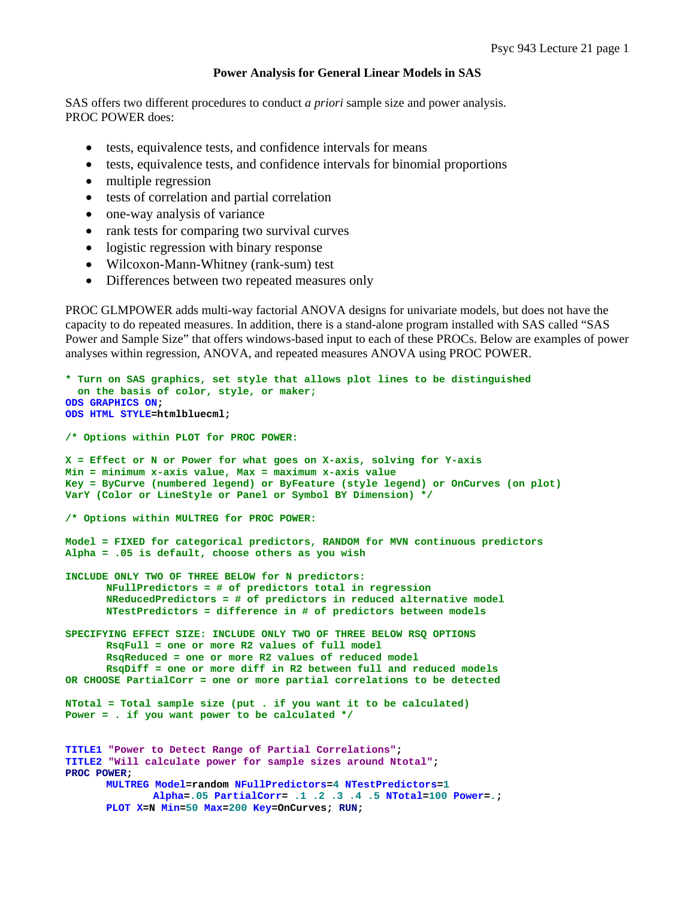# **Power Analysis for General Linear Models in SAS**

SAS offers two different procedures to conduct *a priori* sample size and power analysis. PROC POWER does:

- tests, equivalence tests, and confidence intervals for means
- tests, equivalence tests, and confidence intervals for binomial proportions
- multiple regression
- tests of correlation and partial correlation
- one-way analysis of variance
- rank tests for comparing two survival curves
- logistic regression with binary response
- Wilcoxon-Mann-Whitney (rank-sum) test
- Differences between two repeated measures only

PROC GLMPOWER adds multi-way factorial ANOVA designs for univariate models, but does not have the capacity to do repeated measures. In addition, there is a stand-alone program installed with SAS called "SAS Power and Sample Size" that offers windows-based input to each of these PROCs. Below are examples of power analyses within regression, ANOVA, and repeated measures ANOVA using PROC POWER.

```
* Turn on SAS graphics, set style that allows plot lines to be distinguished 
  on the basis of color, style, or maker;
ODS GRAPHICS ON; 
ODS HTML STYLE=htmlbluecml; 
/* Options within PLOT for PROC POWER: 
X = Effect or N or Power for what goes on X-axis, solving for Y-axis 
Min = minimum x-axis value, Max = maximum x-axis value 
Key = ByCurve (numbered legend) or ByFeature (style legend) or OnCurves (on plot) 
VarY (Color or LineStyle or Panel or Symbol BY Dimension) */
/* Options within MULTREG for PROC POWER: 
Model = FIXED for categorical predictors, RANDOM for MVN continuous predictors 
Alpha = .05 is default, choose others as you wish 
INCLUDE ONLY TWO OF THREE BELOW for N predictors: 
       NFullPredictors = # of predictors total in regression 
       NReducedPredictors = # of predictors in reduced alternative model 
       NTestPredictors = difference in # of predictors between models 
SPECIFYING EFFECT SIZE: INCLUDE ONLY TWO OF THREE BELOW RSQ OPTIONS 
       RsqFull = one or more R2 values of full model 
       RsqReduced = one or more R2 values of reduced model 
       RsqDiff = one or more diff in R2 between full and reduced models 
OR CHOOSE PartialCorr = one or more partial correlations to be detected 
NTotal = Total sample size (put . if you want it to be calculated) 
Power = . if you want power to be calculated */ 
TITLE1 "Power to Detect Range of Partial Correlations"; 
TITLE2 "Will calculate power for sample sizes around Ntotal"; 
PROC POWER; 
      MULTREG Model=random NFullPredictors=4 NTestPredictors=1
               Alpha=.05 PartialCorr= .1 .2 .3 .4 .5 NTotal=100 Power=.; 
      PLOT X=N Min=50 Max=200 Key=OnCurves; RUN;
```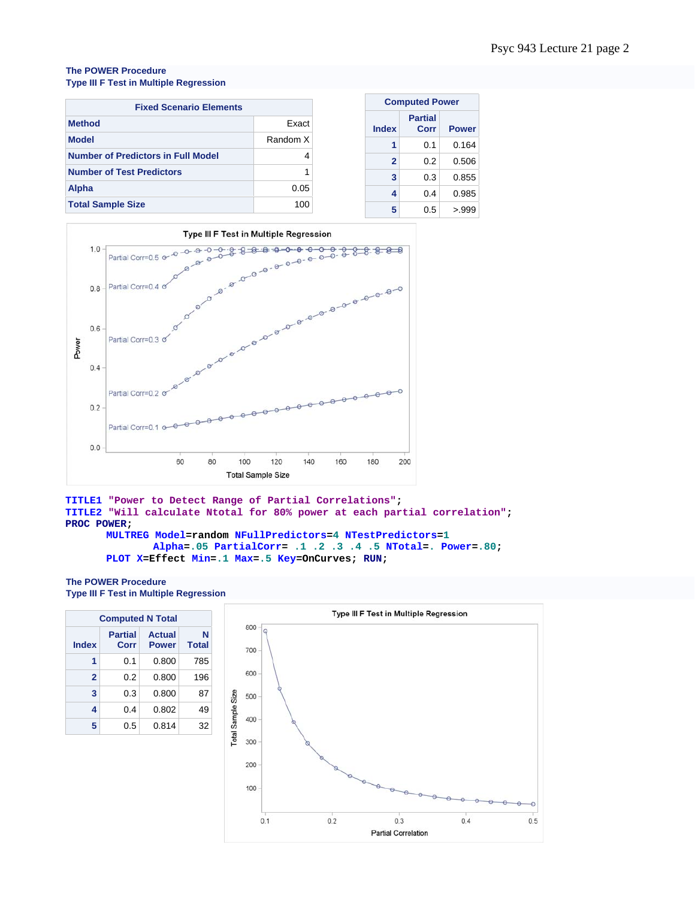## **The POWER Procedure Type III F Test in Multiple Regression**

| <b>Fixed Scenario Elements</b>            | <b>Computed Power</b> |                |
|-------------------------------------------|-----------------------|----------------|
| <b>Method</b>                             | Exact                 | <b>Index</b>   |
| <b>Model</b>                              | Random X              |                |
| <b>Number of Predictors in Full Model</b> | 4                     | $\overline{2}$ |
| <b>Number of Test Predictors</b>          |                       | 3              |
| Alpha                                     | 0.05                  | 4              |
| <b>Total Sample Size</b>                  | 100                   | 5              |



## **TITLE1 "Power to Detect Range of Partial Correlations"; TITLE2 "Will calculate Ntotal for 80% power at each partial correlation"; PROC POWER;**

```
MULTREG Model=random NFullPredictors=4 NTestPredictors=1
        Alpha=.05 PartialCorr= .1 .2 .3 .4 .5 NTotal=. Power=.80; 
PLOT X=Effect Min=.1 Max=.5 Key=OnCurves; RUN;
```
#### **The POWER Procedure Type III F Test in Multiple Regression**

| <b>Computed N Total</b> |                        |                               |                   |  |  |  |  |
|-------------------------|------------------------|-------------------------------|-------------------|--|--|--|--|
| <b>Index</b>            | <b>Partial</b><br>Corr | <b>Actual</b><br><b>Power</b> | N<br><b>Total</b> |  |  |  |  |
| 1                       | 0.1                    | 0.800                         | 785               |  |  |  |  |
| $\mathbf{2}$            | 0.2                    | 0.800                         | 196               |  |  |  |  |
| 3                       | 0.3                    | 0.800                         | 87                |  |  |  |  |
| 4                       | 0.4                    | 0.802                         | 49                |  |  |  |  |
| 5                       | 0.5                    | 0.814                         | 32                |  |  |  |  |

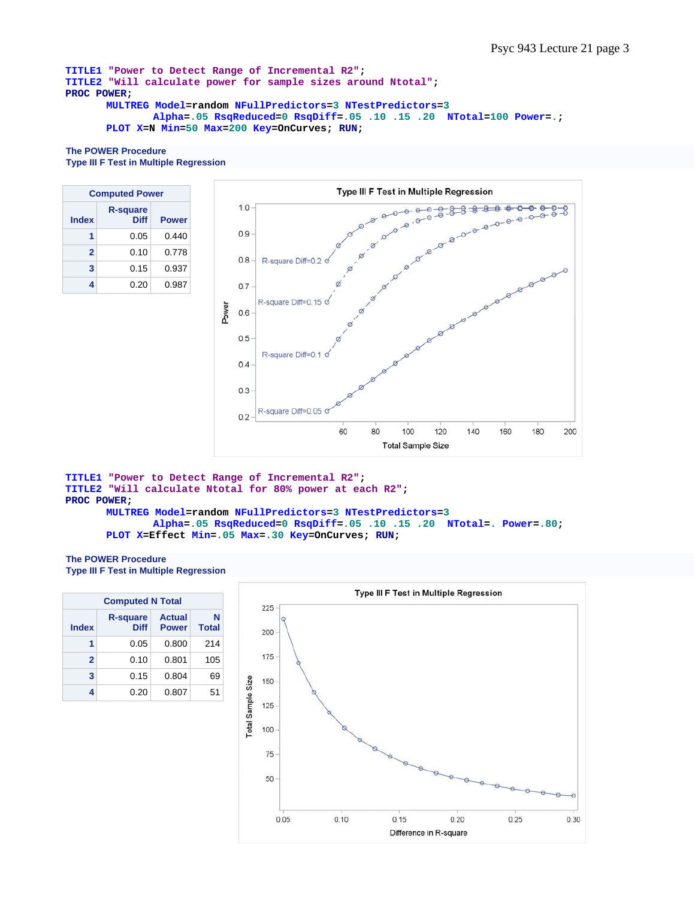```
TITLE1 "Power to Detect Range of Incremental R2"; 
TITLE2 "Will calculate power for sample sizes around Ntotal"; 
PROC POWER; 
      MULTREG Model=random NFullPredictors=3 NTestPredictors=3
               Alpha=.05 RsqReduced=0 RsqDiff=.05 .10 .15 .20 NTotal=100 Power=.; 
      PLOT X=N Min=50 Max=200 Key=OnCurves; RUN;
```
## **The POWER Procedure Type III F Test in Multiple Regression**

| <b>Computed Power</b> |                                |              |  |  |  |  |
|-----------------------|--------------------------------|--------------|--|--|--|--|
| <b>Index</b>          | <b>R-square</b><br><b>Diff</b> | <b>Power</b> |  |  |  |  |
| 1                     | 0.05                           | 0.440        |  |  |  |  |
| $\mathbf{2}$          | 0.10                           | 0.778        |  |  |  |  |
| 3                     | 0.15                           | 0.937        |  |  |  |  |
|                       | 0.20                           | 0.987        |  |  |  |  |



```
TITLE1 "Power to Detect Range of Incremental R2"; 
TITLE2 "Will calculate Ntotal for 80% power at each R2"; 
PROC POWER; 
      MULTREG Model=random NFullPredictors=3 NTestPredictors=3
               Alpha=.05 RsqReduced=0 RsqDiff=.05 .10 .15 .20 NTotal=. Power=.80; 
      PLOT X=Effect Min=.05 Max=.30 Key=OnCurves; RUN;
```
# **The POWER Procedure**

**Type III F Test in Multiple Regression** 

| <b>Computed N Total</b> |                                |                               |                   |  |  |  |  |
|-------------------------|--------------------------------|-------------------------------|-------------------|--|--|--|--|
| <b>Index</b>            | <b>R-square</b><br><b>Diff</b> | <b>Actual</b><br><b>Power</b> | N<br><b>Total</b> |  |  |  |  |
|                         | 0.05                           | 0.800                         | 214               |  |  |  |  |
| $\mathbf{2}$            | 0.10                           | 0.801                         | 105               |  |  |  |  |
| 3                       | 0.15                           | 0.804                         | 69                |  |  |  |  |
|                         | 0.20                           | 0.807                         | 51                |  |  |  |  |

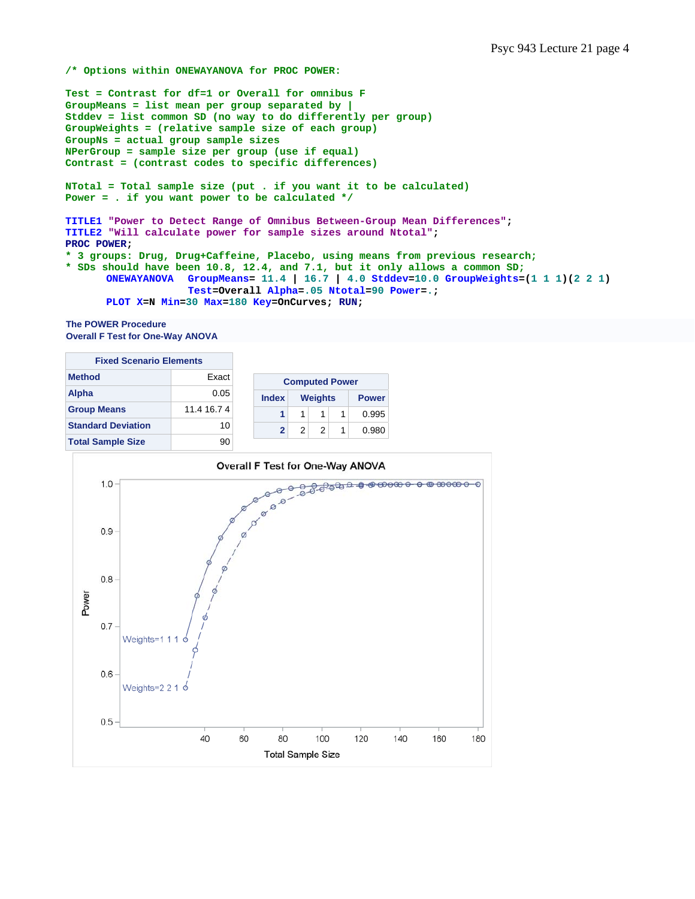**/\* Options within ONEWAYANOVA for PROC POWER:** 

**Test = Contrast for df=1 or Overall for omnibus F GroupMeans = list mean per group separated by | Stddev = list common SD (no way to do differently per group) GroupWeights = (relative sample size of each group) GroupNs = actual group sample sizes NPerGroup = sample size per group (use if equal) Contrast = (contrast codes to specific differences) NTotal = Total sample size (put . if you want it to be calculated) Power = . if you want power to be calculated \*/ TITLE1 "Power to Detect Range of Omnibus Between-Group Mean Differences"; TITLE2 "Will calculate power for sample sizes around Ntotal"; PROC POWER; \* 3 groups: Drug, Drug+Caffeine, Placebo, using means from previous research; \* SDs should have been 10.8, 12.4, and 7.1, but it only allows a common SD; ONEWAYANOVA GroupMeans= 11.4 | 16.7 | 4.0 Stddev=10.0 GroupWeights=(1 1 1)(2 2 1) Test=Overall Alpha=.05 Ntotal=90 Power=.; PLOT X=N Min=30 Max=180 Key=OnCurves; RUN;** 

```
The POWER Procedure 
Overall F Test for One-Way ANOVA
```

| <b>Fixed Scenario Elements</b> |             |  |  |  |  |
|--------------------------------|-------------|--|--|--|--|
| <b>Method</b><br><b>Exact</b>  |             |  |  |  |  |
| Alpha                          | 0.05        |  |  |  |  |
| <b>Group Means</b>             | 11.4 16.7 4 |  |  |  |  |
| <b>Standard Deviation</b>      | 10          |  |  |  |  |
| <b>Total Sample Size</b>       | 90          |  |  |  |  |

| <b>Computed Power</b> |               |                |  |              |  |  |
|-----------------------|---------------|----------------|--|--------------|--|--|
| <b>Index</b>          |               | <b>Weights</b> |  | <b>Power</b> |  |  |
|                       |               |                |  | 0.995        |  |  |
| 2                     | $\mathcal{P}$ | 2              |  | 0.980        |  |  |

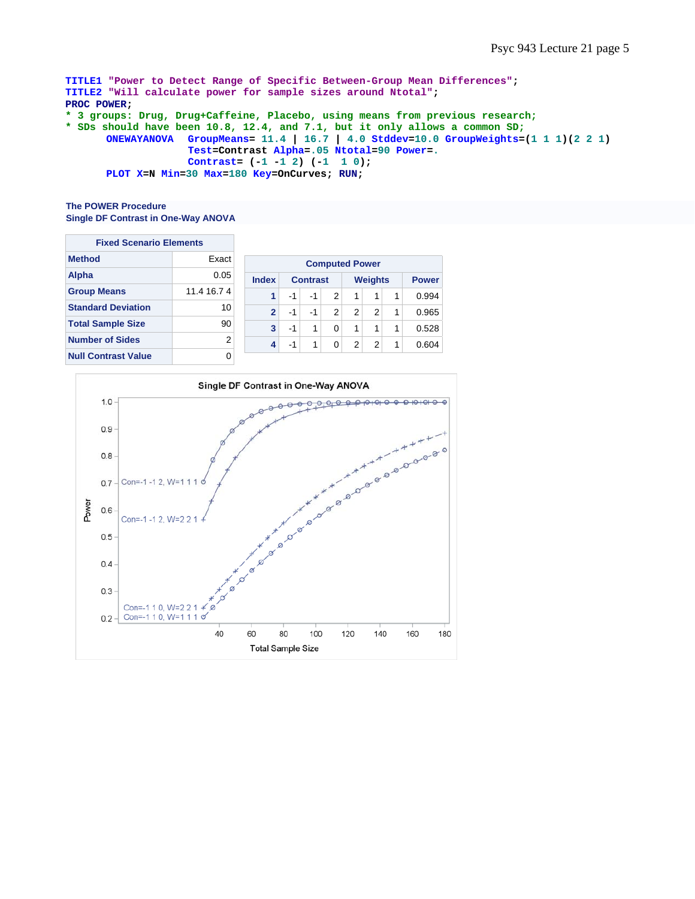```
TITLE1 "Power to Detect Range of Specific Between-Group Mean Differences"; 
TITLE2 "Will calculate power for sample sizes around Ntotal"; 
PROC POWER; 
* 3 groups: Drug, Drug+Caffeine, Placebo, using means from previous research; 
* SDs should have been 10.8, 12.4, and 7.1, but it only allows a common SD;
      ONEWAYANOVA GroupMeans= 11.4 | 16.7 | 4.0 Stddev=10.0 GroupWeights=(1 1 1)(2 2 1) 
                     Test=Contrast Alpha=.05 Ntotal=90 Power=.
                     Contrast= (-1 -1 2) (-1 1 0); 
      PLOT X=N Min=30 Max=180 Key=OnCurves; RUN;
```
## **The POWER Procedure Single DF Contrast in One-Way ANOVA**

| <b>Fixed Scenario Elements</b> |                |                |                 |              |                       |   |                |              |       |
|--------------------------------|----------------|----------------|-----------------|--------------|-----------------------|---|----------------|--------------|-------|
| <b>Method</b>                  | Exact          |                |                 |              | <b>Computed Power</b> |   |                |              |       |
| <b>Alpha</b>                   | 0.05           | <b>Index</b>   | <b>Contrast</b> |              | <b>Weights</b>        |   |                | <b>Power</b> |       |
| <b>Group Means</b>             | 11.4 16.7 4    |                | $-1$            | -1           | 2                     | 1 | 1              | 1            | 0.994 |
| <b>Standard Deviation</b>      | 10             | $\overline{2}$ | $-1$            | $-1$         | 2                     | 2 | $\overline{2}$ | 1            | 0.965 |
| <b>Total Sample Size</b>       | 90             | 3              | $-1$            | 1            | 0                     | 1 | 1              | 1            | 0.528 |
| <b>Number of Sides</b>         | $\overline{2}$ | 4              | $-1$            | $\mathbf{1}$ | 0                     | 2 | $\overline{2}$ | 1            | 0.604 |
| <b>Null Contrast Value</b>     | 0              |                |                 |              |                       |   |                |              |       |

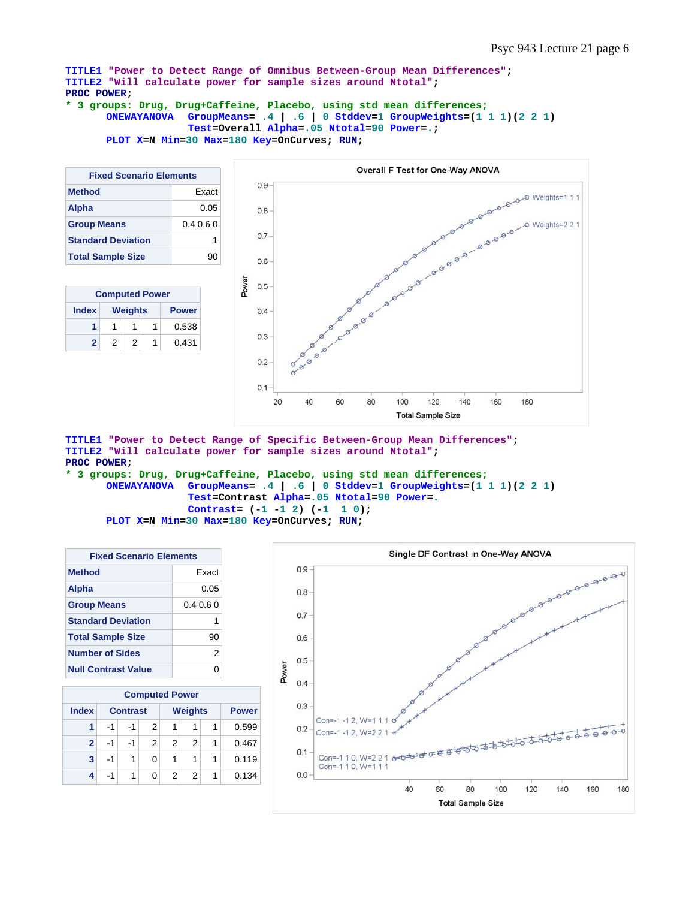**TITLE1 "Power to Detect Range of Omnibus Between-Group Mean Differences"; TITLE2 "Will calculate power for sample sizes around Ntotal"; PROC POWER;** 

```
* 3 groups: Drug, Drug+Caffeine, Placebo, using std mean differences;
      ONEWAYANOVA GroupMeans= .4 | .6 | 0 Stddev=1 GroupWeights=(1 1 1)(2 2 1) 
                     Test=Overall Alpha=.05 Ntotal=90 Power=.; 
      PLOT X=N Min=30 Max=180 Key=OnCurves; RUN;
```

| <b>Fixed Scenario Elements</b> |         |  |  |  |  |
|--------------------------------|---------|--|--|--|--|
| <b>Method</b><br><b>Exact</b>  |         |  |  |  |  |
| <b>Alpha</b>                   | 0.05    |  |  |  |  |
| <b>Group Means</b>             | 0.40.60 |  |  |  |  |
| <b>Standard Deviation</b>      | 1       |  |  |  |  |
| <b>Total Sample Size</b>       | 90      |  |  |  |  |

| <b>Computed Power</b> |   |                |              |       |  |  |  |
|-----------------------|---|----------------|--------------|-------|--|--|--|
| <b>Index</b>          |   | <b>Weights</b> | <b>Power</b> |       |  |  |  |
|                       |   |                | 1            | 0.538 |  |  |  |
| 2                     | 2 |                |              | 0.431 |  |  |  |



**TITLE1 "Power to Detect Range of Specific Between-Group Mean Differences"; TITLE2 "Will calculate power for sample sizes around Ntotal"; PROC POWER;** 

**\* 3 groups: Drug, Drug+Caffeine, Placebo, using std mean differences; ONEWAYANOVA GroupMeans= .4 | .6 | 0 Stddev=1 GroupWeights=(1 1 1)(2 2 1) Test=Contrast Alpha=.05 Ntotal=90 Power=. Contrast= (-1 -1 2) (-1 1 0); PLOT X=N Min=30 Max=180 Key=OnCurves; RUN;** 

| <b>Fixed Scenario Elements</b> |        |  |  |  |  |
|--------------------------------|--------|--|--|--|--|
| <b>Method</b><br><b>Exact</b>  |        |  |  |  |  |
| Alpha                          | 0.05   |  |  |  |  |
| <b>Group Means</b>             | 0.4060 |  |  |  |  |
| <b>Standard Deviation</b>      | 1      |  |  |  |  |
| <b>Total Sample Size</b>       | 90     |  |  |  |  |
| <b>Number of Sides</b>         | 2      |  |  |  |  |
| <b>Null Contrast Value</b>     |        |  |  |  |  |

|                | <b>Computed Power</b> |                 |               |                |                |   |              |  |
|----------------|-----------------------|-----------------|---------------|----------------|----------------|---|--------------|--|
| <b>Index</b>   |                       | <b>Contrast</b> |               |                | <b>Weights</b> |   | <b>Power</b> |  |
| 1              | -1                    | -1              | 2             | 1              | 1              | 1 | 0.599        |  |
| $\overline{2}$ | -1                    | $-1$            | $\mathcal{P}$ | $\mathfrak{p}$ | 2              | 1 | 0.467        |  |
| 3              | $-1$                  | 1               | 0             | 1              | 1              | 1 | 0.119        |  |
| 4              | $-1$                  | 1               | 0             | 2              | 2              | 1 | 0.134        |  |

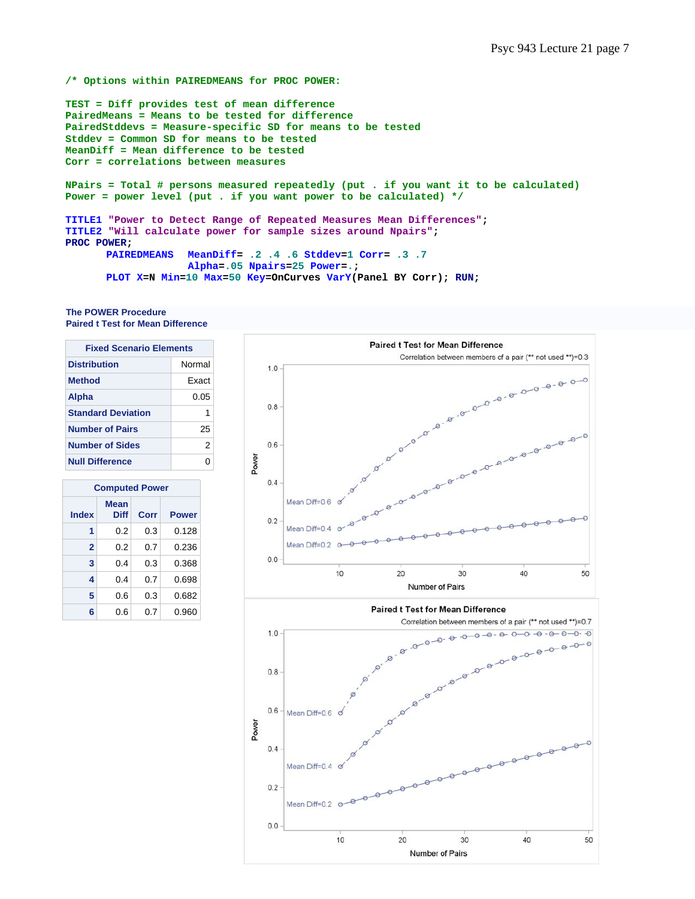#### **/\* Options within PAIREDMEANS for PROC POWER:**

**TEST = Diff provides test of mean difference PairedMeans = Means to be tested for difference PairedStddevs = Measure-specific SD for means to be tested Stddev = Common SD for means to be tested MeanDiff = Mean difference to be tested Corr = correlations between measures** 

**NPairs = Total # persons measured repeatedly (put . if you want it to be calculated) Power = power level (put . if you want power to be calculated) \*/**

```
TITLE1 "Power to Detect Range of Repeated Measures Mean Differences"; 
TITLE2 "Will calculate power for sample sizes around Npairs"; 
PROC POWER;<br>PAIREDMEANS
                     PAIREDMEANS MeanDiff= .2 .4 .6 Stddev=1 Corr= .3 .7
```
 **Alpha=.05 Npairs=25 Power=.;** 

**PLOT X=N Min=10 Max=50 Key=OnCurves VarY(Panel BY Corr); RUN;** 

#### **The POWER Procedure Paired t Test for Mean Difference**

| <b>Fixed Scenario Elements</b> |              |  |  |  |  |
|--------------------------------|--------------|--|--|--|--|
| Normal<br><b>Distribution</b>  |              |  |  |  |  |
| <b>Method</b>                  | <b>Fxact</b> |  |  |  |  |
| Alpha<br>0.05                  |              |  |  |  |  |
| <b>Standard Deviation</b>      | 1            |  |  |  |  |
| <b>Number of Pairs</b><br>25   |              |  |  |  |  |
| <b>Number of Sides</b><br>2    |              |  |  |  |  |
| <b>Null Difference</b>         |              |  |  |  |  |

| <b>Computed Power</b> |                     |      |              |
|-----------------------|---------------------|------|--------------|
| <b>Index</b>          | Mean<br><b>Diff</b> | Corr | <b>Power</b> |
| 1                     | 0.2                 | 0.3  | 0.128        |
| $\overline{2}$        | 0.2                 | 0.7  | 0.236        |
| 3                     | 0.4                 | 0.3  | 0.368        |
| 4                     | 0.4                 | 0.7  | 0.698        |
| 5                     | 0.6                 | 0.3  | 0.682        |
| 6                     | 0.6                 | 0.7  | 0.960        |

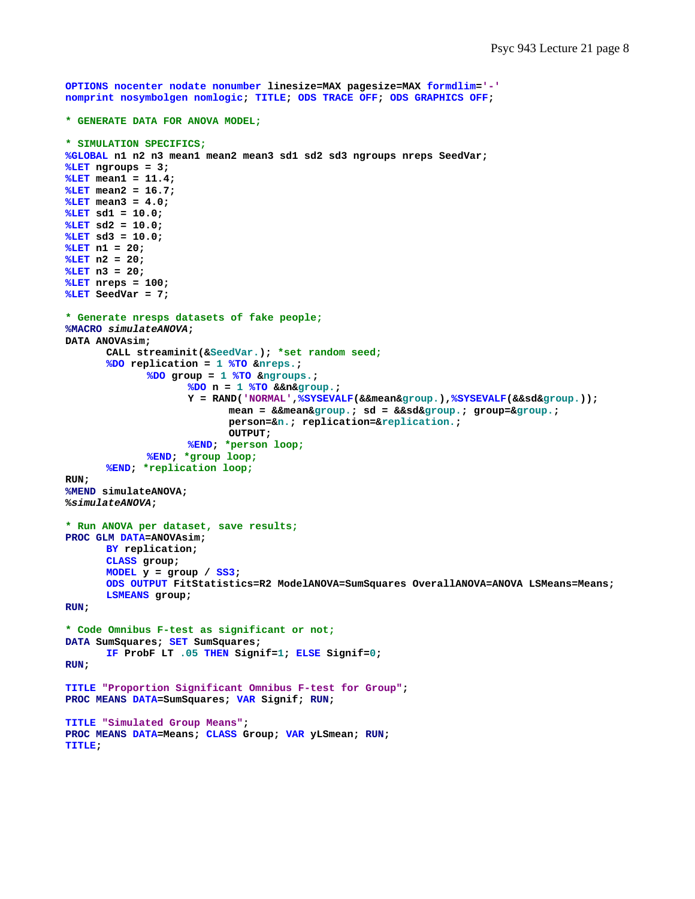```
OPTIONS nocenter nodate nonumber linesize=MAX pagesize=MAX formdlim='-' 
nomprint nosymbolgen nomlogic; TITLE; ODS TRACE OFF; ODS GRAPHICS OFF; 
* GENERATE DATA FOR ANOVA MODEL;
* SIMULATION SPECIFICS;
%GLOBAL n1 n2 n3 mean1 mean2 mean3 sd1 sd2 sd3 ngroups nreps SeedVar; 
%LET ngroups = 3; 
%LET mean1 = 11.4; 
%LET mean2 = 16.7; 
%LET mean3 = 4.0; 
%LET sd1 = 10.0; 
%LET sd2 = 10.0; 
%LET sd3 = 10.0; 
%LET n1 = 20; 
%LET n2 = 20; 
%LET n3 = 20; 
%LET nreps = 100; 
%LET SeedVar = 7; 
* Generate nresps datasets of fake people;
%MACRO simulateANOVA; 
DATA ANOVAsim; 
        CALL streaminit(&SeedVar.); *set random seed;
       %DO replication = 1 %TO &nreps.; 
               %DO group = 1 %TO &ngroups.; 
                      %DO n = 1 %TO &&n&group.; 
                      Y = RAND('NORMAL',%SYSEVALF(&&mean&group.),%SYSEVALF(&&sd&group.)); 
                             mean = &&mean&group.; sd = &&sd&group.; group=&group.; 
                             person=&n.; replication=&replication.; 
                             OUTPUT; 
                      %END; *person loop;
              %END; *group loop;
       %END; *replication loop;
RUN; 
%MEND simulateANOVA; 
%simulateANOVA; 
* Run ANOVA per dataset, save results;
PROC GLM DATA=ANOVAsim; 
      BY replication; 
       CLASS group; 
      MODEL y = group / SS3; 
       ODS OUTPUT FitStatistics=R2 ModelANOVA=SumSquares OverallANOVA=ANOVA LSMeans=Means; 
       LSMEANS group; 
RUN; 
* Code Omnibus F-test as significant or not;
DATA SumSquares; SET SumSquares; 
       IF ProbF LT .05 THEN Signif=1; ELSE Signif=0; 
RUN; 
TITLE "Proportion Significant Omnibus F-test for Group"; 
PROC MEANS DATA=SumSquares; VAR Signif; RUN; 
TITLE "Simulated Group Means"; 
PROC MEANS DATA=Means; CLASS Group; VAR yLSmean; RUN; 
TITLE;
```